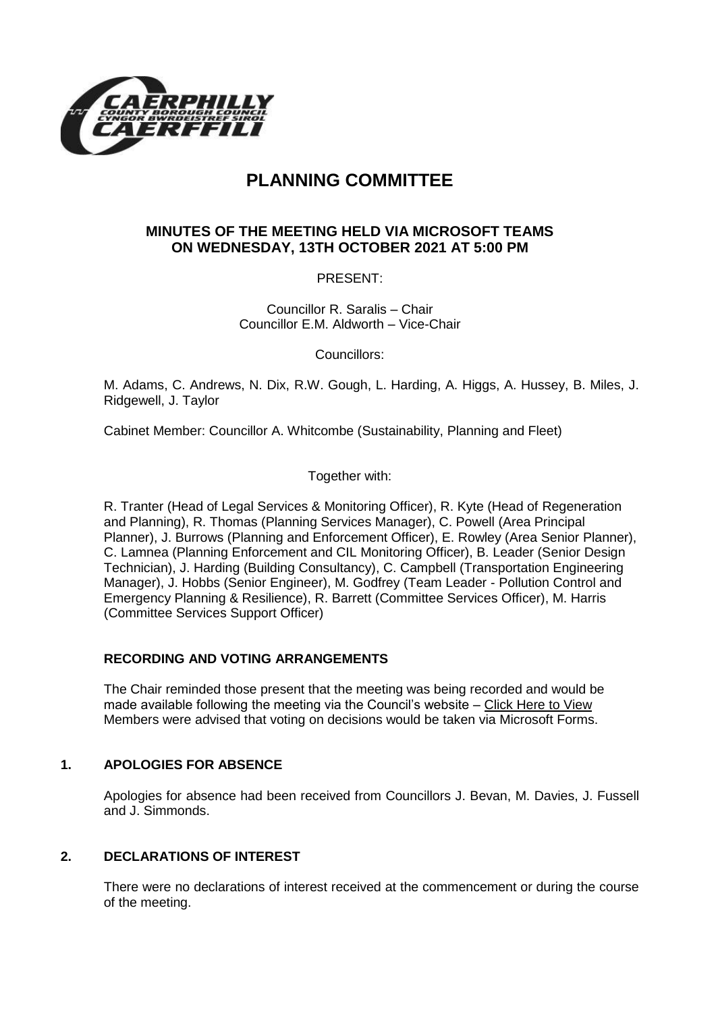

# **PLANNING COMMITTEE**

# **MINUTES OF THE MEETING HELD VIA MICROSOFT TEAMS ON WEDNESDAY, 13TH OCTOBER 2021 AT 5:00 PM**

PRESENT:

Councillor R. Saralis – Chair Councillor E.M. Aldworth – Vice-Chair

Councillors:

M. Adams, C. Andrews, N. Dix, R.W. Gough, L. Harding, A. Higgs, A. Hussey, B. Miles, J. Ridgewell, J. Taylor

Cabinet Member: Councillor A. Whitcombe (Sustainability, Planning and Fleet)

Together with:

R. Tranter (Head of Legal Services & Monitoring Officer), R. Kyte (Head of Regeneration and Planning), R. Thomas (Planning Services Manager), C. Powell (Area Principal Planner), J. Burrows (Planning and Enforcement Officer), E. Rowley (Area Senior Planner), C. Lamnea (Planning Enforcement and CIL Monitoring Officer), B. Leader (Senior Design Technician), J. Harding (Building Consultancy), C. Campbell (Transportation Engineering Manager), J. Hobbs (Senior Engineer), M. Godfrey (Team Leader - Pollution Control and Emergency Planning & Resilience), R. Barrett (Committee Services Officer), M. Harris (Committee Services Support Officer)

# **RECORDING AND VOTING ARRANGEMENTS**

The Chair reminded those present that the meeting was being recorded and would be made available following the meeting via the Council's website – [Click Here to View](https://www.caerphilly.gov.uk/My-Council/Meetings,-agendas,-minutes-and-reports/Council-meetings?lang=en-GB) Members were advised that voting on decisions would be taken via Microsoft Forms.

# **1. APOLOGIES FOR ABSENCE**

Apologies for absence had been received from Councillors J. Bevan, M. Davies, J. Fussell and J. Simmonds.

# **2. DECLARATIONS OF INTEREST**

There were no declarations of interest received at the commencement or during the course of the meeting.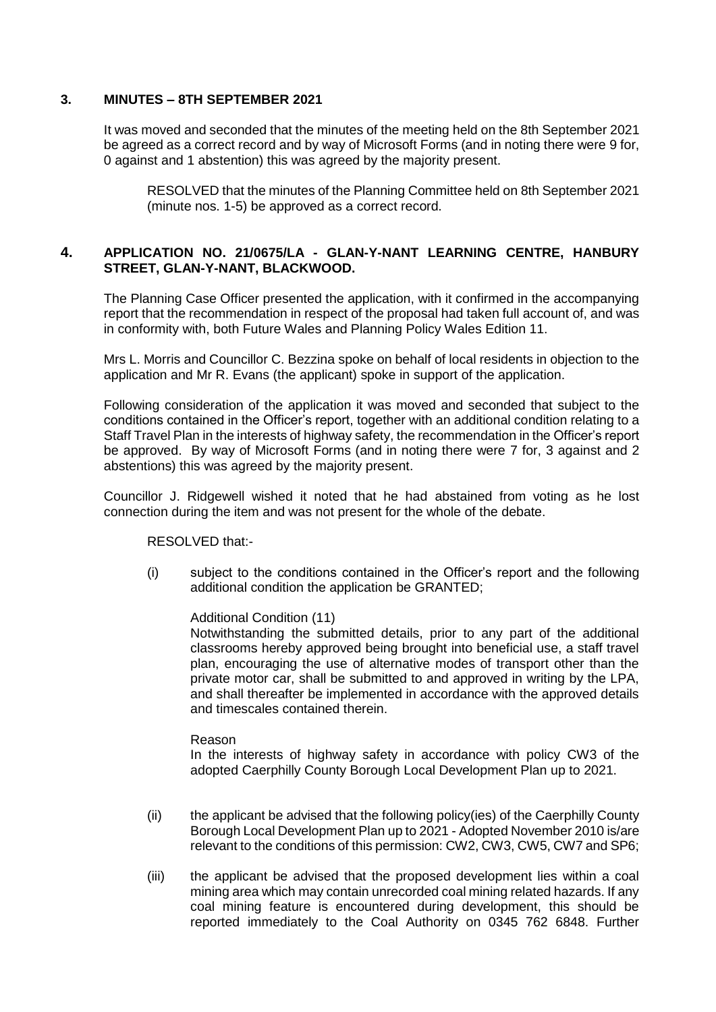#### **3. MINUTES – 8TH SEPTEMBER 2021**

It was moved and seconded that the minutes of the meeting held on the 8th September 2021 be agreed as a correct record and by way of Microsoft Forms (and in noting there were 9 for, 0 against and 1 abstention) this was agreed by the majority present.

RESOLVED that the minutes of the Planning Committee held on 8th September 2021 (minute nos. 1-5) be approved as a correct record.

#### **4. APPLICATION NO. 21/0675/LA - GLAN-Y-NANT LEARNING CENTRE, HANBURY STREET, GLAN-Y-NANT, BLACKWOOD.**

The Planning Case Officer presented the application, with it confirmed in the accompanying report that the recommendation in respect of the proposal had taken full account of, and was in conformity with, both Future Wales and Planning Policy Wales Edition 11.

Mrs L. Morris and Councillor C. Bezzina spoke on behalf of local residents in objection to the application and Mr R. Evans (the applicant) spoke in support of the application.

Following consideration of the application it was moved and seconded that subject to the conditions contained in the Officer's report, together with an additional condition relating to a Staff Travel Plan in the interests of highway safety, the recommendation in the Officer's report be approved. By way of Microsoft Forms (and in noting there were 7 for, 3 against and 2 abstentions) this was agreed by the majority present.

Councillor J. Ridgewell wished it noted that he had abstained from voting as he lost connection during the item and was not present for the whole of the debate.

RESOLVED that:-

(i) subject to the conditions contained in the Officer's report and the following additional condition the application be GRANTED;

Additional Condition (11)

Notwithstanding the submitted details, prior to any part of the additional classrooms hereby approved being brought into beneficial use, a staff travel plan, encouraging the use of alternative modes of transport other than the private motor car, shall be submitted to and approved in writing by the LPA, and shall thereafter be implemented in accordance with the approved details and timescales contained therein.

#### Reason

In the interests of highway safety in accordance with policy CW3 of the adopted Caerphilly County Borough Local Development Plan up to 2021.

- (ii) the applicant be advised that the following policy(ies) of the Caerphilly County Borough Local Development Plan up to 2021 - Adopted November 2010 is/are relevant to the conditions of this permission: CW2, CW3, CW5, CW7 and SP6;
- (iii) the applicant be advised that the proposed development lies within a coal mining area which may contain unrecorded coal mining related hazards. If any coal mining feature is encountered during development, this should be reported immediately to the Coal Authority on 0345 762 6848. Further